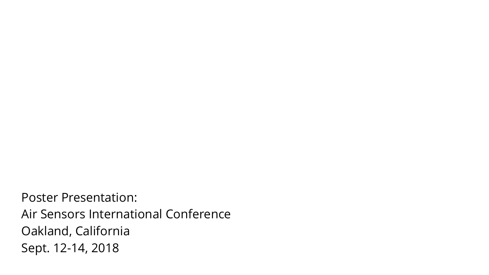Poster Presentation: Air Sensors International Conference Oakland, California Sept. 12-14, 2018